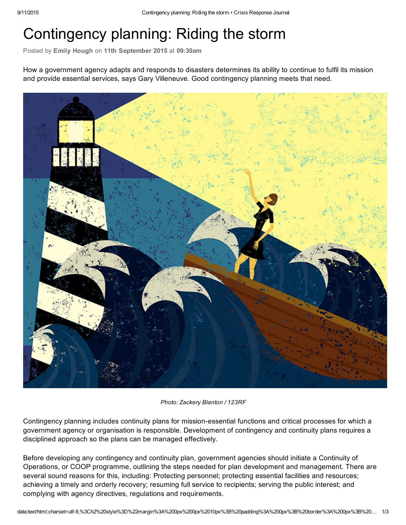## Contingency planning: Riding the storm

Posted by Emily Hough on 11th September 2015 at 09:30am

How a government agency adapts and responds to disasters determines its ability to continue to fulfil its mission and provide essential services, says Gary Villeneuve. Good contingency planning meets that need.



*Photo: Zackery Blanton / 123RF*

Contingency planning includes continuity plans for mission-essential functions and critical processes for which a government agency or organisation is responsible. Development of contingency and continuity plans requires a disciplined approach so the plans can be managed effectively.

Before developing any contingency and continuity plan, government agencies should initiate a Continuity of Operations, or COOP programme, outlining the steps needed for plan development and management. There are several sound reasons for this, including: Protecting personnel; protecting essential facilities and resources; achieving a timely and orderly recovery; resuming full service to recipients; serving the public interest; and complying with agency directives, regulations and requirements.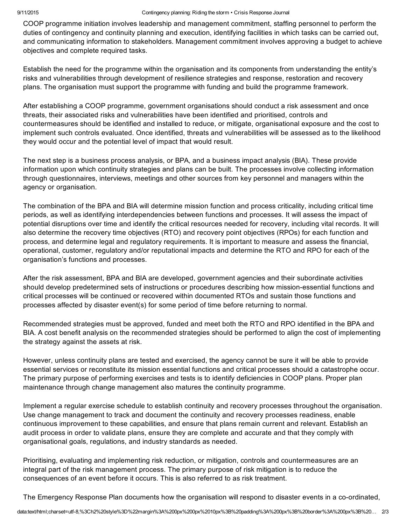COOP programme initiation involves leadership and management commitment, staffing personnel to perform the duties of contingency and continuity planning and execution, identifying facilities in which tasks can be carried out, and communicating information to stakeholders. Management commitment involves approving a budget to achieve objectives and complete required tasks.

Establish the need for the programme within the organisation and its components from understanding the entity's risks and vulnerabilities through development of resilience strategies and response, restoration and recovery plans. The organisation must support the programme with funding and build the programme framework.

After establishing a COOP programme, government organisations should conduct a risk assessment and once threats, their associated risks and vulnerabilities have been identified and prioritised, controls and countermeasures should be identified and installed to reduce, or mitigate, organisational exposure and the cost to implement such controls evaluated. Once identified, threats and vulnerabilities will be assessed as to the likelihood they would occur and the potential level of impact that would result.

The next step is a business process analysis, or BPA, and a business impact analysis (BIA). These provide information upon which continuity strategies and plans can be built. The processes involve collecting information through questionnaires, interviews, meetings and other sources from key personnel and managers within the agency or organisation.

The combination of the BPA and BIA will determine mission function and process criticality, including critical time periods, as well as identifying interdependencies between functions and processes. It will assess the impact of potential disruptions over time and identify the critical resources needed for recovery, including vital records. It will also determine the recovery time objectives (RTO) and recovery point objectives (RPOs) for each function and process, and determine legal and regulatory requirements. It is important to measure and assess the financial, operational, customer, regulatory and/or reputational impacts and determine the RTO and RPO for each of the organisation's functions and processes.

After the risk assessment, BPA and BIA are developed, government agencies and their subordinate activities should develop predetermined sets of instructions or procedures describing how mission-essential functions and critical processes will be continued or recovered within documented RTOs and sustain those functions and processes affected by disaster event(s) for some period of time before returning to normal.

Recommended strategies must be approved, funded and meet both the RTO and RPO identified in the BPA and BIA. A cost benefit analysis on the recommended strategies should be performed to align the cost of implementing the strategy against the assets at risk.

However, unless continuity plans are tested and exercised, the agency cannot be sure it will be able to provide essential services or reconstitute its mission essential functions and critical processes should a catastrophe occur. The primary purpose of performing exercises and tests is to identify deficiencies in COOP plans. Proper plan maintenance through change management also matures the continuity programme.

Implement a regular exercise schedule to establish continuity and recovery processes throughout the organisation. Use change management to track and document the continuity and recovery processes readiness, enable continuous improvement to these capabilities, and ensure that plans remain current and relevant. Establish an audit process in order to validate plans, ensure they are complete and accurate and that they comply with organisational goals, regulations, and industry standards as needed.

Prioritising, evaluating and implementing risk reduction, or mitigation, controls and countermeasures are an integral part of the risk management process. The primary purpose of risk mitigation is to reduce the consequences of an event before it occurs. This is also referred to as risk treatment.

The Emergency Response Plan documents how the organisation will respond to disaster events in a co-ordinated,